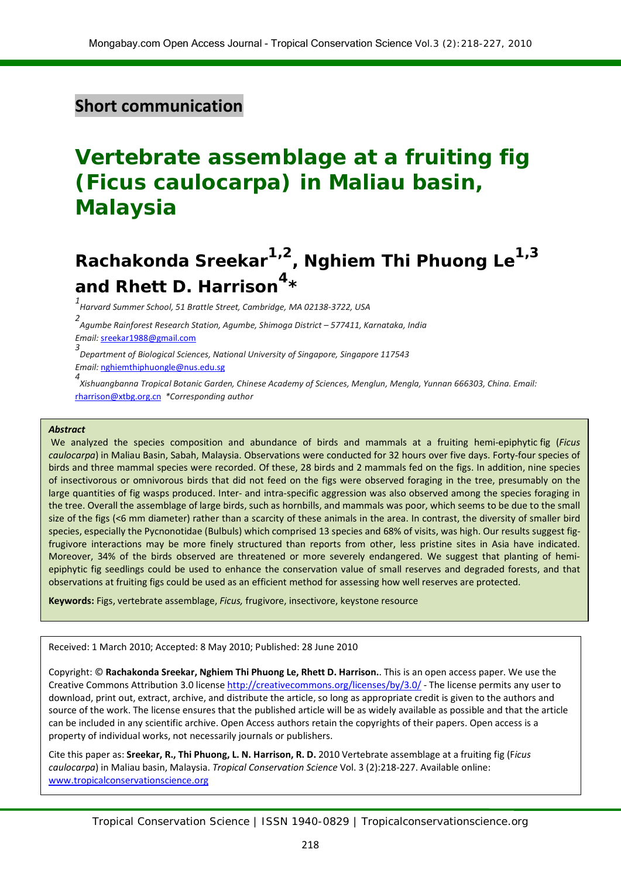## **Short communication**

# **Vertebrate assemblage at a fruiting fig (***Ficus caulocarpa***) in Maliau basin, Malaysia**

# **Rachakonda Sreekar1,2, Nghiem Thi Phuong Le1,3 and Rhett D. Harrison4\***

*1 Harvard Summer School, 51 Brattle Street, Cambridge, MA 02138-3722, USA*

*2 Agumbe Rainforest Research Station, Agumbe, Shimoga District – 577411, Karnataka, India*

*Email:*  [sreekar1988@gmail.com](mailto:Sreekar%20%3Csreekar1988@gmail.com%3E)

*3 Department of Biological Sciences, National University of Singapore, Singapore 117543*

*Email:* [nghiemthiphuongle@nus.edu.sg](mailto:Nghiem%20Thi%20Phuong%20Le%20%3Cnghiemthiphuongle@nus.edu.sg%3E)

*4 Xishuangbanna Tropical Botanic Garden, Chinese Academy of Sciences, Menglun, Mengla, Yunnan 666303, China. Email:*  [rharrison@xtbg.org.cn](mailto:rharrison@xtbg.org.cn) *\*Corresponding author*

#### *Abstract*

We analyzed the species composition and abundance of birds and mammals at a fruiting hemi-epiphytic fig (*Ficus caulocarpa*) in Maliau Basin, Sabah, Malaysia. Observations were conducted for 32 hours over five days. Forty-four species of birds and three mammal species were recorded. Of these, 28 birds and 2 mammals fed on the figs. In addition, nine species of insectivorous or omnivorous birds that did not feed on the figs were observed foraging in the tree, presumably on the large quantities of fig wasps produced. Inter- and intra-specific aggression was also observed among the species foraging in the tree. Overall the assemblage of large birds, such as hornbills, and mammals was poor, which seems to be due to the small size of the figs (<6 mm diameter) rather than a scarcity of these animals in the area. In contrast, the diversity of smaller bird species, especially the Pycnonotidae (Bulbuls) which comprised 13 species and 68% of visits, was high. Our results suggest figfrugivore interactions may be more finely structured than reports from other, less pristine sites in Asia have indicated. Moreover, 34% of the birds observed are threatened or more severely endangered. We suggest that planting of hemiepiphytic fig seedlings could be used to enhance the conservation value of small reserves and degraded forests, and that observations at fruiting figs could be used as an efficient method for assessing how well reserves are protected.

**Keywords:** Figs, vertebrate assemblage, *Ficus,* frugivore, insectivore, keystone resource

Received: 1 March 2010; Accepted: 8 May 2010; Published: 28 June 2010

Copyright: © **Rachakonda Sreekar, Nghiem Thi Phuong Le, Rhett D. Harrison.**. This is an open access paper. We use the Creative Commons Attribution 3.0 license<http://creativecommons.org/licenses/by/3.0/> - The license permits any user to download, print out, extract, archive, and distribute the article, so long as appropriate credit is given to the authors and source of the work. The license ensures that the published article will be as widely available as possible and that the article can be included in any scientific archive. Open Access authors retain the copyrights of their papers. Open access is a property of individual works, not necessarily journals or publishers.

Cite this paper as: **Sreekar, R., Thi Phuong, L. N. Harrison, R. D.** 2010 Vertebrate assemblage at a fruiting fig (F*icus caulocarpa*) in Maliau basin, Malaysia. *Tropical Conservation Science* Vol. 3 (2):218-227. Available online: [www.tropicalconservationscience.org](http://www.tropicalconservationscience.org/)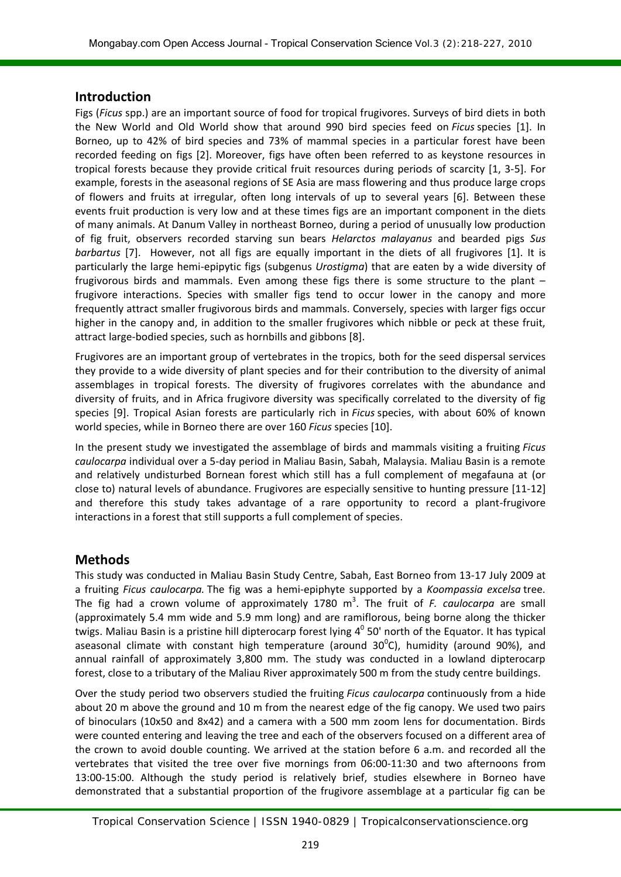#### **Introduction**

Figs (*Ficus* spp.) are an important source of food for tropical frugivores. Surveys of bird diets in both the New World and Old World show that around 990 bird species feed on *Ficus* species [1]. In Borneo, up to 42% of bird species and 73% of mammal species in a particular forest have been recorded feeding on figs [2]. Moreover, figs have often been referred to as keystone resources in tropical forests because they provide critical fruit resources during periods of scarcity [1, 3-5]. For example, forests in the aseasonal regions of SE Asia are mass flowering and thus produce large crops of flowers and fruits at irregular, often long intervals of up to several years [6]. Between these events fruit production is very low and at these times figs are an important component in the diets of many animals. At Danum Valley in northeast Borneo, during a period of unusually low production of fig fruit, observers recorded starving sun bears *Helarctos malayanus* and bearded pigs *Sus barbartus* [7]. However, not all figs are equally important in the diets of all frugivores [1]. It is particularly the large hemi-epipytic figs (subgenus *Urostigma*) that are eaten by a wide diversity of frugivorous birds and mammals. Even among these figs there is some structure to the plant – frugivore interactions. Species with smaller figs tend to occur lower in the canopy and more frequently attract smaller frugivorous birds and mammals. Conversely, species with larger figs occur higher in the canopy and, in addition to the smaller frugivores which nibble or peck at these fruit, attract large-bodied species, such as hornbills and gibbons [8].

Frugivores are an important group of vertebrates in the tropics, both for the seed dispersal services they provide to a wide diversity of plant species and for their contribution to the diversity of animal assemblages in tropical forests. The diversity of frugivores correlates with the abundance and diversity of fruits, and in Africa frugivore diversity was specifically correlated to the diversity of fig species [9]. Tropical Asian forests are particularly rich in *Ficus* species, with about 60% of known world species, while in Borneo there are over 160 *Ficus* species [10].

In the present study we investigated the assemblage of birds and mammals visiting a fruiting *Ficus caulocarpa* individual over a 5-day period in Maliau Basin, Sabah, Malaysia. Maliau Basin is a remote and relatively undisturbed Bornean forest which still has a full complement of megafauna at (or close to) natural levels of abundance. Frugivores are especially sensitive to hunting pressure [11-12] and therefore this study takes advantage of a rare opportunity to record a plant-frugivore interactions in a forest that still supports a full complement of species.

### **Methods**

This study was conducted in Maliau Basin Study Centre, Sabah, East Borneo from 13-17 July 2009 at a fruiting *Ficus caulocarpa.* The fig was a hemi-epiphyte supported by a *Koompassia excelsa* tree. The fig had a crown volume of approximately 1780 m<sup>3</sup>. The fruit of *F. caulocarpa* are small (approximately 5.4 mm wide and 5.9 mm long) and are ramiflorous, being borne along the thicker twigs. Maliau Basin is a pristine hill dipterocarp forest lying 4<sup>0</sup> 50' north of the Equator. It has typical aseasonal climate with constant high temperature (around  $30^{\circ}$ C), humidity (around 90%), and annual rainfall of approximately 3,800 mm. The study was conducted in a lowland dipterocarp forest, close to a tributary of the Maliau River approximately 500 m from the study centre buildings.

Over the study period two observers studied the fruiting *Ficus caulocarpa* continuously from a hide about 20 m above the ground and 10 m from the nearest edge of the fig canopy. We used two pairs of binoculars (10x50 and 8x42) and a camera with a 500 mm zoom lens for documentation. Birds were counted entering and leaving the tree and each of the observers focused on a different area of the crown to avoid double counting. We arrived at the station before 6 a.m. and recorded all the vertebrates that visited the tree over five mornings from 06:00-11:30 and two afternoons from 13:00-15:00. Although the study period is relatively brief, studies elsewhere in Borneo have demonstrated that a substantial proportion of the frugivore assemblage at a particular fig can be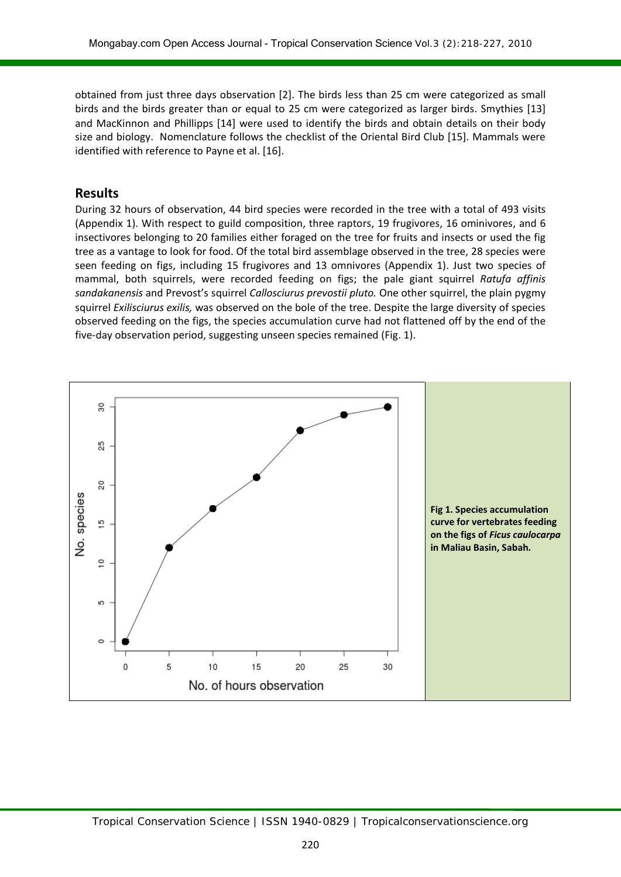obtained from just three days observation [2]. The birds less than 25 cm were categorized as small birds and the birds greater than or equal to 25 cm were categorized as larger birds. Smythies [13] and MacKinnon and Phillipps [14] were used to identify the birds and obtain details on their body size and biology. Nomenclature follows the checklist of the Oriental Bird Club [15]. Mammals were identified with reference to Payne et al. [16].

### **Results**

During 32 hours of observation, 44 bird species were recorded in the tree with a total of 493 visits (Appendix 1). With respect to guild composition, three raptors, 19 frugivores, 16 ominivores, and 6 insectivores belonging to 20 families either foraged on the tree for fruits and insects or used the fig tree as a vantage to look for food. Of the total bird assemblage observed in the tree, 28 species were seen feeding on figs, including 15 frugivores and 13 omnivores (Appendix 1). Just two species of mammal, both squirrels, were recorded feeding on figs; the pale giant squirrel *Ratufa affinis sandakanensis* and Prevost's squirrel *Callosciurus prevostii pluto.* One other squirrel, the plain pygmy squirrel *Exilisciurus exilis,* was observed on the bole of the tree. Despite the large diversity of species observed feeding on the figs, the species accumulation curve had not flattened off by the end of the five-day observation period, suggesting unseen species remained (Fig. 1).

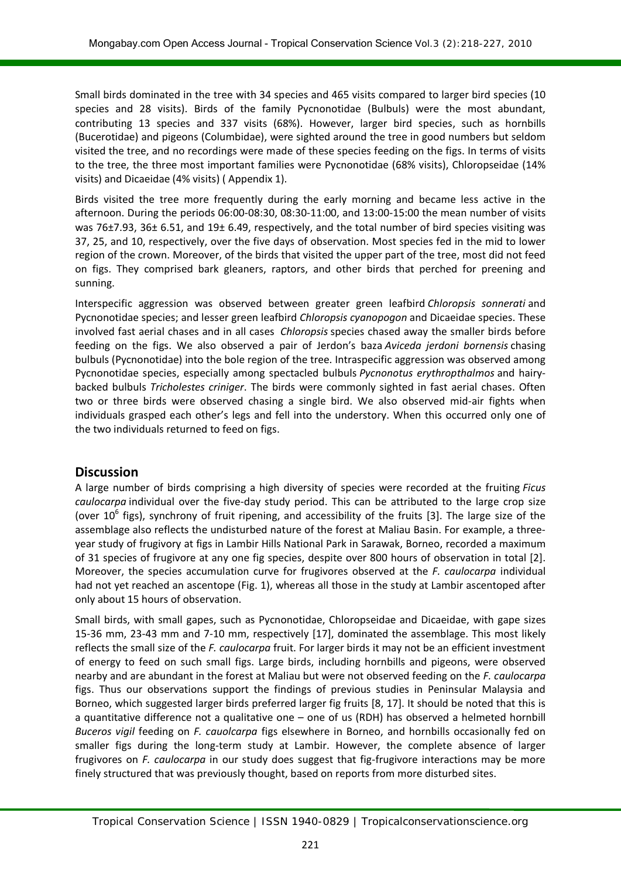Small birds dominated in the tree with 34 species and 465 visits compared to larger bird species (10 species and 28 visits). Birds of the family Pycnonotidae (Bulbuls) were the most abundant, contributing 13 species and 337 visits (68%). However, larger bird species, such as hornbills (Bucerotidae) and pigeons (Columbidae), were sighted around the tree in good numbers but seldom visited the tree, and no recordings were made of these species feeding on the figs. In terms of visits to the tree, the three most important families were Pycnonotidae (68% visits), Chloropseidae (14% visits) and Dicaeidae (4% visits) ( Appendix 1).

Birds visited the tree more frequently during the early morning and became less active in the afternoon. During the periods 06:00-08:30, 08:30-11:00, and 13:00-15:00 the mean number of visits was 76±7.93, 36± 6.51, and 19± 6.49, respectively, and the total number of bird species visiting was 37, 25, and 10, respectively, over the five days of observation. Most species fed in the mid to lower region of the crown. Moreover, of the birds that visited the upper part of the tree, most did not feed on figs. They comprised bark gleaners, raptors, and other birds that perched for preening and sunning.

Interspecific aggression was observed between greater green leafbird *Chloropsis sonnerati* and Pycnonotidae species; and lesser green leafbird *Chloropsis cyanopogon* and Dicaeidae species. These involved fast aerial chases and in all cases *Chloropsis* species chased away the smaller birds before feeding on the figs. We also observed a pair of Jerdon's baza *Aviceda jerdoni bornensis* chasing bulbuls (Pycnonotidae) into the bole region of the tree. Intraspecific aggression was observed among Pycnonotidae species, especially among spectacled bulbuls *Pycnonotus erythropthalmos* and hairybacked bulbuls *Tricholestes criniger*. The birds were commonly sighted in fast aerial chases. Often two or three birds were observed chasing a single bird. We also observed mid-air fights when individuals grasped each other's legs and fell into the understory. When this occurred only one of the two individuals returned to feed on figs.

### **Discussion**

A large number of birds comprising a high diversity of species were recorded at the fruiting *Ficus caulocarpa* individual over the five-day study period. This can be attributed to the large crop size (over  $10^6$  figs), synchrony of fruit ripening, and accessibility of the fruits [3]. The large size of the assemblage also reflects the undisturbed nature of the forest at Maliau Basin. For example, a threeyear study of frugivory at figs in Lambir Hills National Park in Sarawak, Borneo, recorded a maximum of 31 species of frugivore at any one fig species, despite over 800 hours of observation in total [2]. Moreover, the species accumulation curve for frugivores observed at the *F. caulocarpa* individual had not yet reached an ascentope (Fig. 1), whereas all those in the study at Lambir ascentoped after only about 15 hours of observation.

Small birds, with small gapes, such as Pycnonotidae, Chloropseidae and Dicaeidae, with gape sizes 15-36 mm, 23-43 mm and 7-10 mm, respectively [17], dominated the assemblage. This most likely reflects the small size of the *F. caulocarpa* fruit. For larger birds it may not be an efficient investment of energy to feed on such small figs. Large birds, including hornbills and pigeons, were observed nearby and are abundant in the forest at Maliau but were not observed feeding on the *F. caulocarpa* figs. Thus our observations support the findings of previous studies in Peninsular Malaysia and Borneo, which suggested larger birds preferred larger fig fruits [8, 17]. It should be noted that this is a quantitative difference not a qualitative one – one of us (RDH) has observed a helmeted hornbill *Buceros vigil* feeding on *F. cauolcarpa* figs elsewhere in Borneo, and hornbills occasionally fed on smaller figs during the long-term study at Lambir. However, the complete absence of larger frugivores on *F. caulocarpa* in our study does suggest that fig-frugivore interactions may be more finely structured that was previously thought, based on reports from more disturbed sites.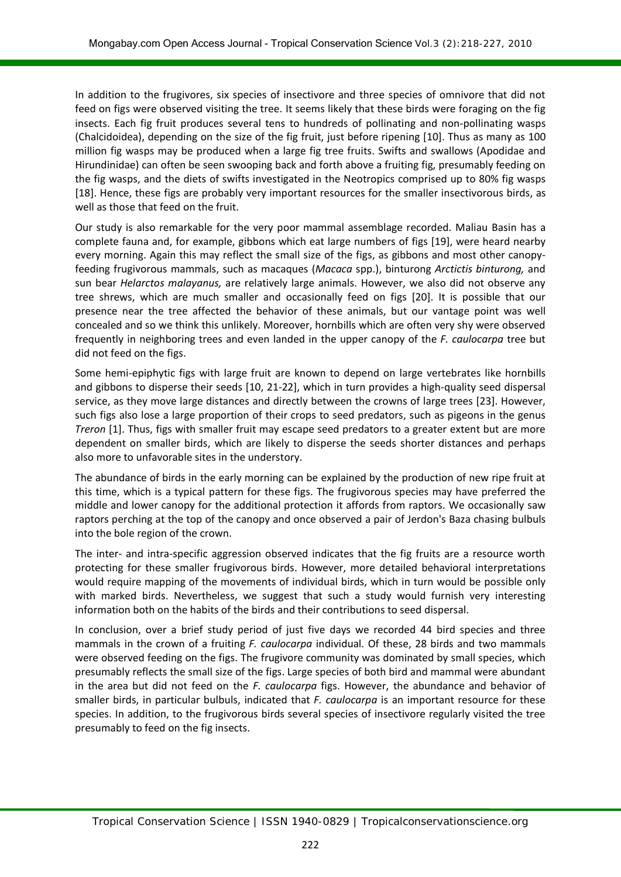In addition to the frugivores, six species of insectivore and three species of omnivore that did not feed on figs were observed visiting the tree. It seems likely that these birds were foraging on the fig insects. Each fig fruit produces several tens to hundreds of pollinating and non-pollinating wasps (Chalcidoidea), depending on the size of the fig fruit, just before ripening [10]. Thus as many as 100 million fig wasps may be produced when a large fig tree fruits. Swifts and swallows (Apodidae and Hirundinidae) can often be seen swooping back and forth above a fruiting fig, presumably feeding on the fig wasps, and the diets of swifts investigated in the Neotropics comprised up to 80% fig wasps [18]. Hence, these figs are probably very important resources for the smaller insectivorous birds, as well as those that feed on the fruit.

Our study is also remarkable for the very poor mammal assemblage recorded. Maliau Basin has a complete fauna and, for example, gibbons which eat large numbers of figs [19], were heard nearby every morning. Again this may reflect the small size of the figs, as gibbons and most other canopyfeeding frugivorous mammals, such as macaques (*Macaca* spp.), binturong *Arctictis binturong,* and sun bear *Helarctos malayanus,* are relatively large animals. However, we also did not observe any tree shrews, which are much smaller and occasionally feed on figs [20]. It is possible that our presence near the tree affected the behavior of these animals, but our vantage point was well concealed and so we think this unlikely. Moreover, hornbills which are often very shy were observed frequently in neighboring trees and even landed in the upper canopy of the *F. caulocarpa* tree but did not feed on the figs.

Some hemi-epiphytic figs with large fruit are known to depend on large vertebrates like hornbills and gibbons to disperse their seeds [10, 21-22], which in turn provides a high-quality seed dispersal service, as they move large distances and directly between the crowns of large trees [23]. However, such figs also lose a large proportion of their crops to seed predators, such as pigeons in the genus *Treron* [1]. Thus, figs with smaller fruit may escape seed predators to a greater extent but are more dependent on smaller birds, which are likely to disperse the seeds shorter distances and perhaps also more to unfavorable sites in the understory.

The abundance of birds in the early morning can be explained by the production of new ripe fruit at this time, which is a typical pattern for these figs. The frugivorous species may have preferred the middle and lower canopy for the additional protection it affords from raptors. We occasionally saw raptors perching at the top of the canopy and once observed a pair of Jerdon's Baza chasing bulbuls into the bole region of the crown.

The inter- and intra-specific aggression observed indicates that the fig fruits are a resource worth protecting for these smaller frugivorous birds. However, more detailed behavioral interpretations would require mapping of the movements of individual birds, which in turn would be possible only with marked birds. Nevertheless, we suggest that such a study would furnish very interesting information both on the habits of the birds and their contributions to seed dispersal.

In conclusion, over a brief study period of just five days we recorded 44 bird species and three mammals in the crown of a fruiting *F. caulocarpa* individual. Of these, 28 birds and two mammals were observed feeding on the figs. The frugivore community was dominated by small species, which presumably reflects the small size of the figs. Large species of both bird and mammal were abundant in the area but did not feed on the *F. caulocarpa* figs. However, the abundance and behavior of smaller birds, in particular bulbuls, indicated that *F. caulocarpa* is an important resource for these species. In addition, to the frugivorous birds several species of insectivore regularly visited the tree presumably to feed on the fig insects.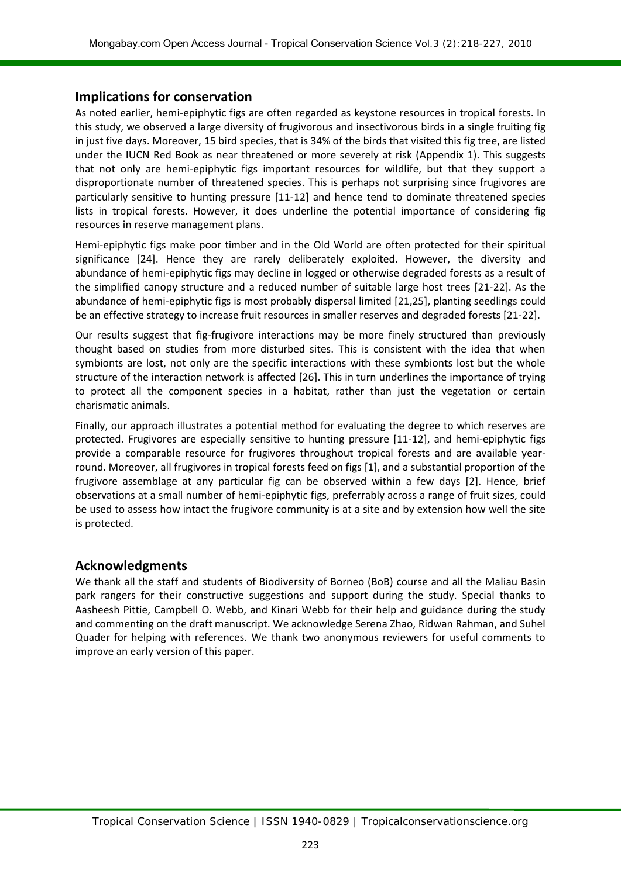#### **Implications for conservation**

As noted earlier, hemi-epiphytic figs are often regarded as keystone resources in tropical forests. In this study, we observed a large diversity of frugivorous and insectivorous birds in a single fruiting fig in just five days. Moreover, 15 bird species, that is 34% of the birds that visited this fig tree, are listed under the IUCN Red Book as near threatened or more severely at risk (Appendix 1). This suggests that not only are hemi-epiphytic figs important resources for wildlife, but that they support a disproportionate number of threatened species. This is perhaps not surprising since frugivores are particularly sensitive to hunting pressure [11-12] and hence tend to dominate threatened species lists in tropical forests. However, it does underline the potential importance of considering fig resources in reserve management plans.

Hemi-epiphytic figs make poor timber and in the Old World are often protected for their spiritual significance [24]. Hence they are rarely deliberately exploited. However, the diversity and abundance of hemi-epiphytic figs may decline in logged or otherwise degraded forests as a result of the simplified canopy structure and a reduced number of suitable large host trees [21-22]. As the abundance of hemi-epiphytic figs is most probably dispersal limited [21,25], planting seedlings could be an effective strategy to increase fruit resources in smaller reserves and degraded forests [21-22].

Our results suggest that fig-frugivore interactions may be more finely structured than previously thought based on studies from more disturbed sites. This is consistent with the idea that when symbionts are lost, not only are the specific interactions with these symbionts lost but the whole structure of the interaction network is affected [26]. This in turn underlines the importance of trying to protect all the component species in a habitat, rather than just the vegetation or certain charismatic animals.

Finally, our approach illustrates a potential method for evaluating the degree to which reserves are protected. Frugivores are especially sensitive to hunting pressure [11-12], and hemi-epiphytic figs provide a comparable resource for frugivores throughout tropical forests and are available yearround. Moreover, all frugivores in tropical forests feed on figs [1], and a substantial proportion of the frugivore assemblage at any particular fig can be observed within a few days [2]. Hence, brief observations at a small number of hemi-epiphytic figs, preferrably across a range of fruit sizes, could be used to assess how intact the frugivore community is at a site and by extension how well the site is protected.

### **Acknowledgments**

We thank all the staff and students of Biodiversity of Borneo (BoB) course and all the Maliau Basin park rangers for their constructive suggestions and support during the study. Special thanks to Aasheesh Pittie, Campbell O. Webb, and Kinari Webb for their help and guidance during the study and commenting on the draft manuscript. We acknowledge Serena Zhao, Ridwan Rahman, and Suhel Quader for helping with references. We thank two anonymous reviewers for useful comments to improve an early version of this paper.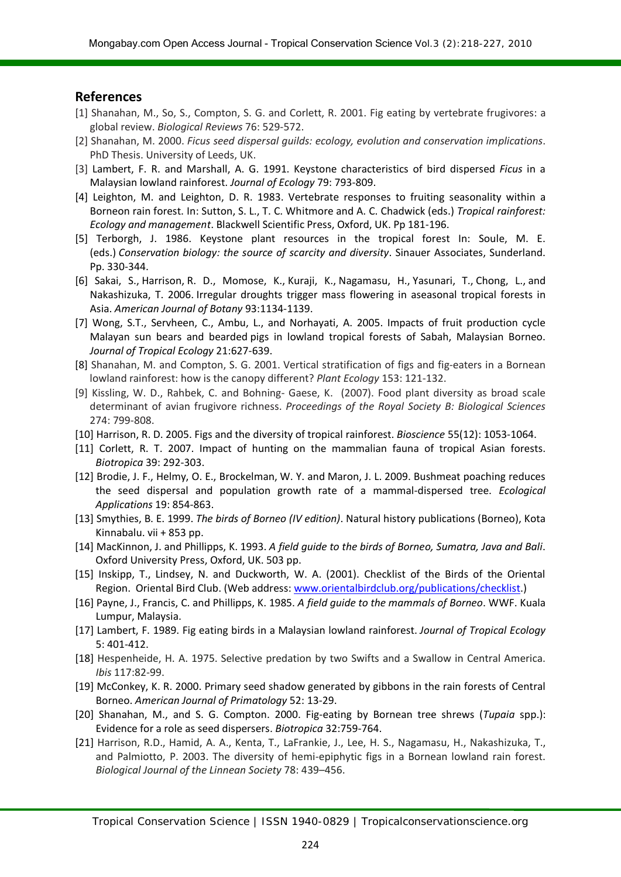#### **References**

- [1] Shanahan, M., So, S., Compton, S. G. and Corlett, R. 2001. Fig eating by vertebrate frugivores: a global review. *Biological Reviews* 76: 529-572.
- [2] Shanahan, M. 2000. *Ficus seed dispersal guilds: ecology, evolution and conservation implications*. PhD Thesis. University of Leeds, UK.
- [3] Lambert, F. R. and Marshall, A. G. 1991. Keystone characteristics of bird dispersed *Ficus* in a Malaysian lowland rainforest. *Journal of Ecology* 79: 793-809.
- [4] Leighton, M. and Leighton, D. R. 1983. Vertebrate responses to fruiting seasonality within a Borneon rain forest. In: Sutton, S. L., T. C. Whitmore and A. C. Chadwick (eds.) *Tropical rainforest: Ecology and management*. Blackwell Scientific Press, Oxford, UK. Pp 181-196.
- [5] Terborgh, J. 1986. Keystone plant resources in the tropical forest In: Soule, M. E. (eds.) *Conservation biology: the source of scarcity and diversity*. Sinauer Associates, Sunderland. Pp. 330-344.
- [6] Sakai, S., Harrison, R. D., Momose, K., Kuraji, K., Nagamasu, H., Yasunari, T., Chong, L., and Nakashizuka, T. 2006. Irregular droughts trigger mass flowering in aseasonal tropical forests in Asia. *American Journal of Botany* 93:1134-1139.
- [7] Wong, S.T., Servheen, C., Ambu, L., and Norhayati, A. 2005. Impacts of fruit production cycle Malayan sun bears and bearded pigs in lowland tropical forests of Sabah, Malaysian Borneo. *Journal of Tropical Ecology* 21:627-639.
- [8] Shanahan, M. and Compton, S. G. 2001. Vertical stratification of figs and fig-eaters in a Bornean lowland rainforest: how is the canopy different? *Plant Ecology* 153: 121-132.
- [9] Kissling, W. D., Rahbek, C. and Bohning- Gaese, K. (2007). Food plant diversity as broad scale determinant of avian frugivore richness. *Proceedings of the Royal Society B: Biological Sciences*  274: 799-808.
- [10] Harrison, R. D. 2005. Figs and the diversity of tropical rainforest. *Bioscience* 55(12): 1053-1064.
- [11] Corlett, R. T. 2007. Impact of hunting on the mammalian fauna of tropical Asian forests. *Biotropica* 39: 292-303.
- [12] Brodie, J. F., Helmy, O. E., Brockelman, W. Y. and Maron, J. L. 2009. Bushmeat poaching reduces the seed dispersal and population growth rate of a mammal-dispersed tree. *Ecological Applications* 19: 854-863.
- [13] Smythies, B. E. 1999. *The birds of Borneo (IV edition)*. Natural history publications (Borneo), Kota Kinnabalu. vii + 853 pp.
- [14] MacKinnon, J. and Phillipps, K. 1993. *A field guide to the birds of Borneo, Sumatra, Java and Bali*. Oxford University Press, Oxford, UK. 503 pp.
- [15] Inskipp, T., Lindsey, N. and Duckworth, W. A. (2001). Checklist of the Birds of the Oriental Region. Oriental Bird Club. (Web address: [www.orientalbirdclub.org/publications/checklist.](http://www.orientalbirdclub.org/publications/checklist))
- [16] Payne, J., Francis, C. and Phillipps, K. 1985. *A field guide to the mammals of Borneo*. WWF. Kuala Lumpur, Malaysia.
- [17] Lambert, F. 1989. Fig eating birds in a Malaysian lowland rainforest. *Journal of Tropical Ecology*  5: 401-412.
- [18] Hespenheide, H. A. 1975. Selective predation by two Swifts and a Swallow in Central America. *Ibis* 117:82-99.
- [19] McConkey, K. R. 2000. Primary seed shadow generated by gibbons in the rain forests of Central Borneo. *American Journal of Primatology* 52: 13-29.
- [20] Shanahan, M., and S. G. Compton. 2000. Fig-eating by Bornean tree shrews (*Tupaia* spp.): Evidence for a role as seed dispersers. *Biotropica* 32:759-764.
- [21] Harrison, R.D., Hamid, A. A., Kenta, T., LaFrankie, J., Lee, H. S., Nagamasu, H., Nakashizuka, T., and Palmiotto, P. 2003. The diversity of hemi-epiphytic figs in a Bornean lowland rain forest. *Biological Journal of the Linnean Society* 78: 439–456.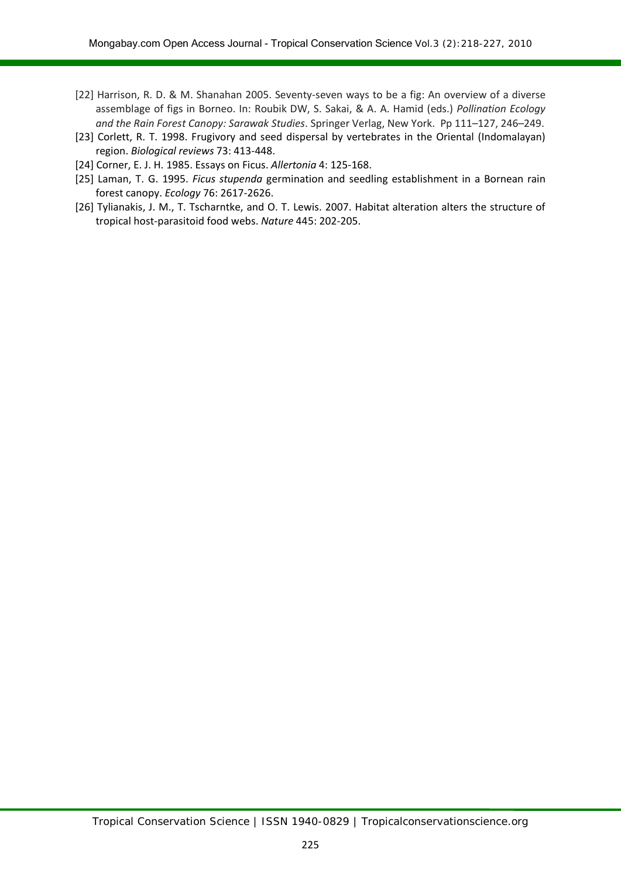- [22] Harrison, R. D. & M. Shanahan 2005. Seventy-seven ways to be a fig: An overview of a diverse assemblage of figs in Borneo. In: Roubik DW, S. Sakai, & A. A. Hamid (eds.) *Pollination Ecology and the Rain Forest Canopy: Sarawak Studies*. Springer Verlag, New York. Pp 111–127, 246–249.
- [23] Corlett, R. T. 1998. Frugivory and seed dispersal by vertebrates in the Oriental (Indomalayan) region. *Biological reviews* 73: 413-448.
- [24] Corner, E. J. H. 1985. Essays on Ficus. *Allertonia* 4: 125-168.
- [25] Laman, T. G. 1995. *Ficus stupenda* germination and seedling establishment in a Bornean rain forest canopy. *Ecology* 76: 2617-2626.
- [26] Tylianakis, J. M., T. Tscharntke, and O. T. Lewis. 2007. Habitat alteration alters the structure of tropical host-parasitoid food webs. *Nature* 445: 202-205.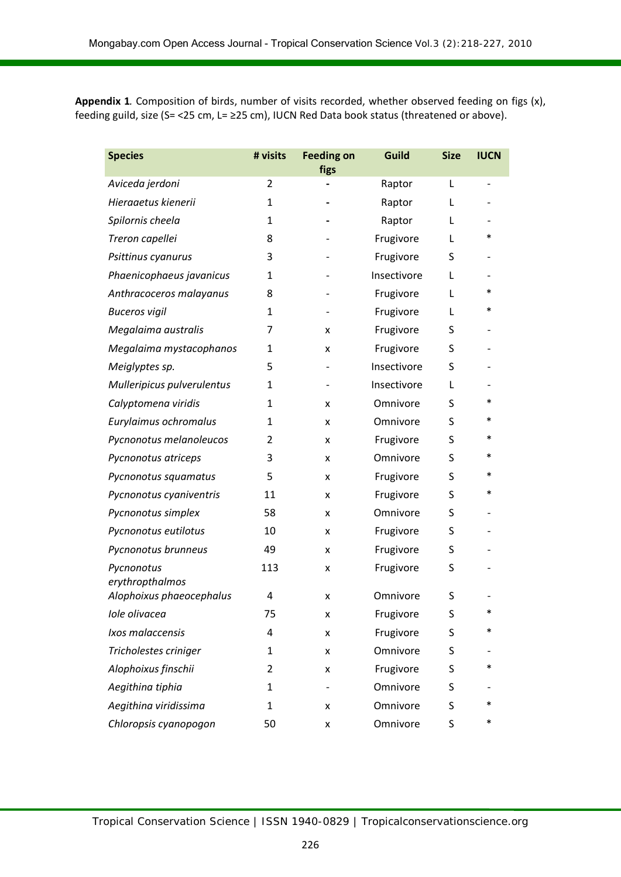**Appendix 1***.* Composition of birds, number of visits recorded, whether observed feeding on figs (x), feeding guild, size (S= <25 cm, L= ≥25 cm), IUCN Red Data book status (threatened or above).

| <b>Species</b>                | # visits       | <b>Feeding on</b><br>figs | Guild       | <b>Size</b> | <b>IUCN</b> |
|-------------------------------|----------------|---------------------------|-------------|-------------|-------------|
| Aviceda jerdoni               | $\overline{2}$ |                           | Raptor      | L           |             |
| Hieraaetus kienerii           | 1              |                           | Raptor      | L           |             |
| Spilornis cheela              | 1              |                           | Raptor      | L           |             |
| Treron capellei               | 8              |                           | Frugivore   | L           | $\ast$      |
| Psittinus cyanurus            | 3              |                           | Frugivore   | S           |             |
| Phaenicophaeus javanicus      | 1              |                           | Insectivore | L           |             |
| Anthracoceros malayanus       | 8              |                           | Frugivore   | L           | *           |
| <b>Buceros vigil</b>          | 1              |                           | Frugivore   | L           | *           |
| Megalaima australis           | 7              | x                         | Frugivore   | S           |             |
| Megalaima mystacophanos       | 1              | x                         | Frugivore   | S           |             |
| Meiglyptes sp.                | 5              |                           | Insectivore | S           |             |
| Mulleripicus pulverulentus    | 1              |                           | Insectivore | L           |             |
| Calyptomena viridis           | 1              | x                         | Omnivore    | S           | *           |
| Eurylaimus ochromalus         | 1              | x                         | Omnivore    | S           | $\ast$      |
| Pycnonotus melanoleucos       | 2              | x                         | Frugivore   | S           | $\ast$      |
| Pycnonotus atriceps           | 3              | x                         | Omnivore    | S           | $\ast$      |
| Pycnonotus squamatus          | 5              | x                         | Frugivore   | S           | $\ast$      |
| Pycnonotus cyaniventris       | 11             | x                         | Frugivore   | S           | $\ast$      |
| Pycnonotus simplex            | 58             | x                         | Omnivore    | S           |             |
| Pycnonotus eutilotus          | 10             | x                         | Frugivore   | S           |             |
| Pycnonotus brunneus           | 49             | x                         | Frugivore   | S           |             |
| Pycnonotus<br>erythropthalmos | 113            | x                         | Frugivore   | S           |             |
| Alophoixus phaeocephalus      | 4              | x                         | Omnivore    | S           |             |
| Iole olivacea                 | 75             | X                         | Frugivore   | S           | *           |
| Ixos malaccensis              | 4              | x                         | Frugivore   | S           | $\ast$      |
| Tricholestes criniger         | 1              | X                         | Omnivore    | S           |             |
| Alophoixus finschii           | 2              | X                         | Frugivore   | S           | ∗           |
| Aegithina tiphia              | 1              |                           | Omnivore    | S           |             |
| Aegithina viridissima         | 1              | x                         | Omnivore    | S           | *           |
| Chloropsis cyanopogon         | 50             | x                         | Omnivore    | S           | $\ast$      |